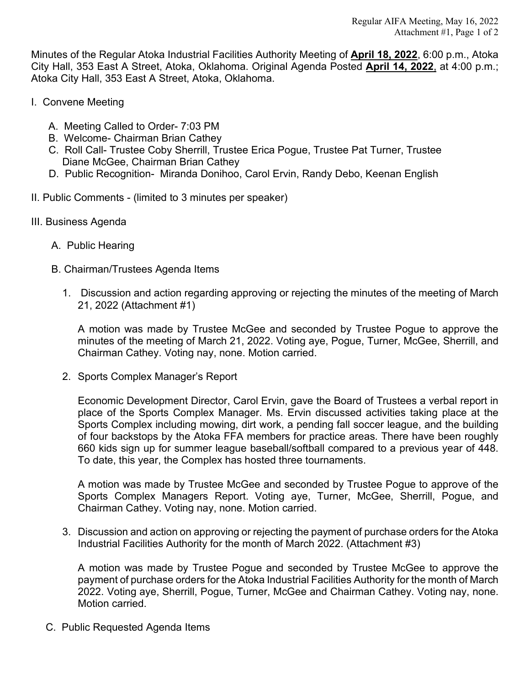Minutes of the Regular Atoka Industrial Facilities Authority Meeting of **April 18, 2022**, 6:00 p.m., Atoka City Hall, 353 East A Street, Atoka, Oklahoma. Original Agenda Posted **April 14, 2022**, at 4:00 p.m.; Atoka City Hall, 353 East A Street, Atoka, Oklahoma.

- I. Convene Meeting
	- A. Meeting Called to Order- 7:03 PM
	- B. Welcome- Chairman Brian Cathey
	- C. Roll Call- Trustee Coby Sherrill, Trustee Erica Pogue, Trustee Pat Turner, Trustee Diane McGee, Chairman Brian Cathey
	- D. Public Recognition- Miranda Donihoo, Carol Ervin, Randy Debo, Keenan English
- II. Public Comments (limited to 3 minutes per speaker)
- III. Business Agenda
	- A. Public Hearing
	- B. Chairman/Trustees Agenda Items
		- 1. Discussion and action regarding approving or rejecting the minutes of the meeting of March 21, 2022 (Attachment #1)

A motion was made by Trustee McGee and seconded by Trustee Pogue to approve the minutes of the meeting of March 21, 2022. Voting aye, Pogue, Turner, McGee, Sherrill, and Chairman Cathey. Voting nay, none. Motion carried.

2. Sports Complex Manager's Report

Economic Development Director, Carol Ervin, gave the Board of Trustees a verbal report in place of the Sports Complex Manager. Ms. Ervin discussed activities taking place at the Sports Complex including mowing, dirt work, a pending fall soccer league, and the building of four backstops by the Atoka FFA members for practice areas. There have been roughly 660 kids sign up for summer league baseball/softball compared to a previous year of 448. To date, this year, the Complex has hosted three tournaments.

A motion was made by Trustee McGee and seconded by Trustee Pogue to approve of the Sports Complex Managers Report. Voting aye, Turner, McGee, Sherrill, Pogue, and Chairman Cathey. Voting nay, none. Motion carried.

3. Discussion and action on approving or rejecting the payment of purchase orders for the Atoka Industrial Facilities Authority for the month of March 2022. (Attachment #3)

A motion was made by Trustee Pogue and seconded by Trustee McGee to approve the payment of purchase orders for the Atoka Industrial Facilities Authority for the month of March 2022. Voting aye, Sherrill, Pogue, Turner, McGee and Chairman Cathey. Voting nay, none. Motion carried.

C. Public Requested Agenda Items